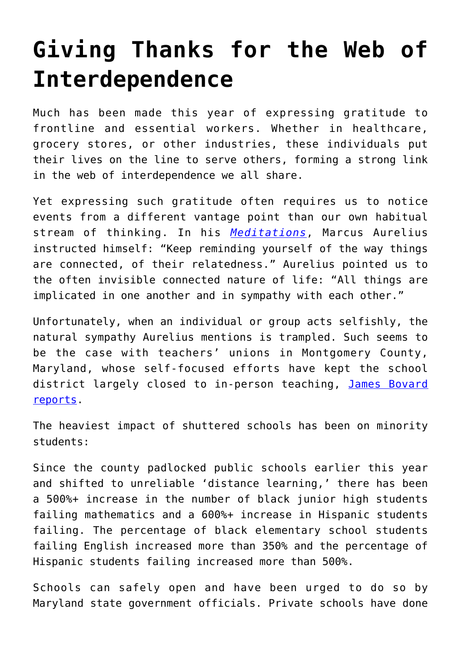## **[Giving Thanks for the Web of](https://intellectualtakeout.org/2020/12/giving-thanks-for-the-web-of-interdependence/) [Interdependence](https://intellectualtakeout.org/2020/12/giving-thanks-for-the-web-of-interdependence/)**

Much has been made this year of expressing gratitude to frontline and essential workers. Whether in healthcare, grocery stores, or other industries, these individuals put their lives on the line to serve others, forming a strong link in the web of interdependence we all share.

Yet expressing such gratitude often requires us to notice events from a different vantage point than our own habitual stream of thinking. In his *[Meditations](https://www.amazon.com/Meditations-New-Translation-Marcus-Aurelius/dp/0812968255/)*, Marcus Aurelius instructed himself: "Keep reminding yourself of the way things are connected, of their relatedness." Aurelius pointed us to the often invisible connected nature of life: "All things are implicated in one another and in sympathy with each other."

Unfortunately, when an individual or group acts selfishly, the natural sympathy Aurelius mentions is trampled. Such seems to be the case with teachers' unions in Montgomery County, Maryland, whose self-focused efforts have kept the school district largely closed to in-person teaching, [James Bovard](https://www.aier.org/article/covid-craziness-in-loco-moco/) [reports](https://www.aier.org/article/covid-craziness-in-loco-moco/).

The heaviest impact of shuttered schools has been on minority students:

Since the county padlocked public schools earlier this year and shifted to unreliable 'distance learning,' there has been a 500%+ increase in the number of black junior high students failing mathematics and a 600%+ increase in Hispanic students failing. The percentage of black elementary school students failing English increased more than 350% and the percentage of Hispanic students failing increased more than 500%.

Schools can safely open and have been urged to do so by Maryland state government officials. Private schools have done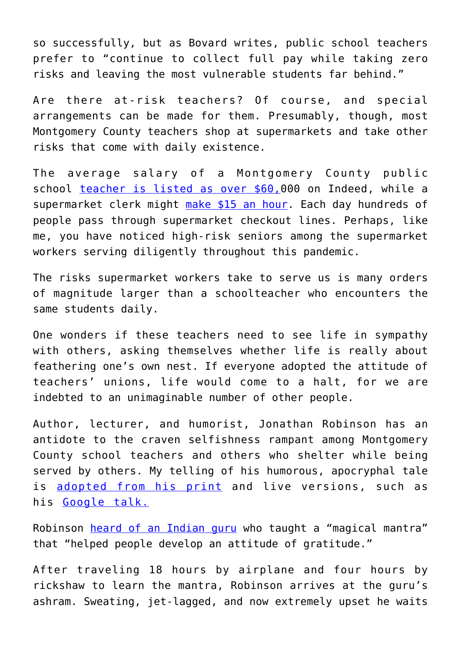so successfully, but as Bovard writes, public school teachers prefer to "continue to collect full pay while taking zero risks and leaving the most vulnerable students far behind."

Are there at-risk teachers? Of course, and special arrangements can be made for them. Presumably, though, most Montgomery County teachers shop at supermarkets and take other risks that come with daily existence.

The average salary of a Montgomery County public school [teacher is listed as over \\$60,0](https://www.indeed.com/cmp/Montgomery-County-Public-Schools,-Md/salaries/Teacher#:~:text=Average%20Montgomery%20County%20Public%20Schools,66%25%20above%20the%20national%20average.)00 on Indeed, while a supermarket clerk might [make \\$15 an hour.](https://www.indeed.com/q-Grocery-Store-l-Montgomery-County,-MD-jobs.html) Each day hundreds of people pass through supermarket checkout lines. Perhaps, like me, you have noticed high-risk seniors among the supermarket workers serving diligently throughout this pandemic.

The risks supermarket workers take to serve us is many orders of magnitude larger than a schoolteacher who encounters the same students daily.

One wonders if these teachers need to see life in sympathy with others, asking themselves whether life is really about feathering one's own nest. If everyone adopted the attitude of teachers' unions, life would come to a halt, for we are indebted to an unimaginable number of other people.

Author, lecturer, and humorist, Jonathan Robinson has an antidote to the craven selfishness rampant among Montgomery County school teachers and others who shelter while being served by others. My telling of his humorous, apocryphal tale is [adopted from his print](https://findinghappiness.com/attitude-of-gratitude/) and live versions, such as his [Google talk.](https://www.youtube.com/watch?v=i2WC00LvGAo)

Robinson [heard of an Indian guru](https://findinghappiness.com/attitude-of-gratitude/) who taught a "magical mantra" that "helped people develop an attitude of gratitude."

After traveling 18 hours by airplane and four hours by rickshaw to learn the mantra, Robinson arrives at the guru's ashram. Sweating, jet-lagged, and now extremely upset he waits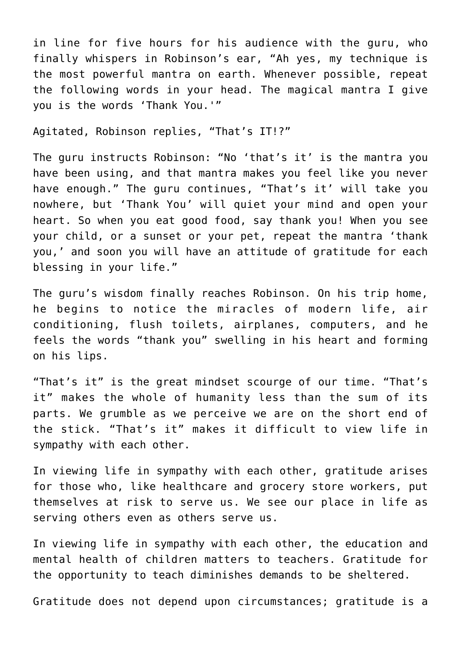in line for five hours for his audience with the guru, who finally whispers in Robinson's ear, "Ah yes, my technique is the most powerful mantra on earth. Whenever possible, repeat the following words in your head. The magical mantra I give you is the words 'Thank You.'"

Agitated, Robinson replies, "That's IT!?"

The guru instructs Robinson: "No 'that's it' is the mantra you have been using, and that mantra makes you feel like you never have enough." The guru continues, "That's it' will take you nowhere, but 'Thank You' will quiet your mind and open your heart. So when you eat good food, say thank you! When you see your child, or a sunset or your pet, repeat the mantra 'thank you,' and soon you will have an attitude of gratitude for each blessing in your life."

The guru's wisdom finally reaches Robinson, On his trip home, he begins to notice the miracles of modern life, air conditioning, flush toilets, airplanes, computers, and he feels the words "thank you" swelling in his heart and forming on his lips.

"That's it" is the great mindset scourge of our time. "That's it" makes the whole of humanity less than the sum of its parts. We grumble as we perceive we are on the short end of the stick. "That's it" makes it difficult to view life in sympathy with each other.

In viewing life in sympathy with each other, gratitude arises for those who, like healthcare and grocery store workers, put themselves at risk to serve us. We see our place in life as serving others even as others serve us.

In viewing life in sympathy with each other, the education and mental health of children matters to teachers. Gratitude for the opportunity to teach diminishes demands to be sheltered.

Gratitude does not depend upon circumstances; gratitude is a